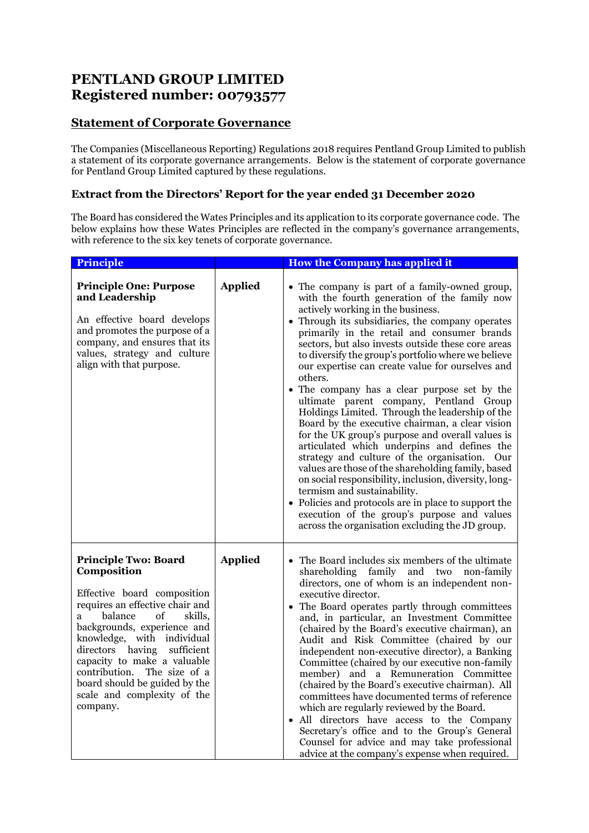## **PENTLAND GROUP LIMITED Registered number: 00793577**

## **Statement of Corporate Governance**

The Companies (Miscellaneous Reporting) Regulations 2018 requires Pentland Group Limited to publish a statement of its corporate governance arrangements. Below is the statement of corporate governance for Pentland Group Limited captured by these regulations.

## **Extract from the Directors' Report for the year ended 31 December 2020**

The Board has considered the Wates Principles and its application to its corporate governance code. The below explains how these Wates Principles are reflected in the company's governance arrangements, with reference to the six key tenets of corporate governance.

| <b>Principle</b>                                                                                                                                                                                                                                                                                                                                                                          |                | <b>How the Company has applied it</b>                                                                                                                                                                                                                                                                                                                                                                                                                                                                                                                                                                                                                                                                                                                                                                                                                                                                                                                                                                                                                                           |
|-------------------------------------------------------------------------------------------------------------------------------------------------------------------------------------------------------------------------------------------------------------------------------------------------------------------------------------------------------------------------------------------|----------------|---------------------------------------------------------------------------------------------------------------------------------------------------------------------------------------------------------------------------------------------------------------------------------------------------------------------------------------------------------------------------------------------------------------------------------------------------------------------------------------------------------------------------------------------------------------------------------------------------------------------------------------------------------------------------------------------------------------------------------------------------------------------------------------------------------------------------------------------------------------------------------------------------------------------------------------------------------------------------------------------------------------------------------------------------------------------------------|
| <b>Principle One: Purpose</b><br>and Leadership<br>An effective board develops<br>and promotes the purpose of a<br>company, and ensures that its<br>values, strategy and culture<br>align with that purpose.                                                                                                                                                                              | <b>Applied</b> | • The company is part of a family-owned group,<br>with the fourth generation of the family now<br>actively working in the business.<br>• Through its subsidiaries, the company operates<br>primarily in the retail and consumer brands<br>sectors, but also invests outside these core areas<br>to diversify the group's portfolio where we believe<br>our expertise can create value for ourselves and<br>others.<br>• The company has a clear purpose set by the<br>ultimate parent company, Pentland Group<br>Holdings Limited. Through the leadership of the<br>Board by the executive chairman, a clear vision<br>for the UK group's purpose and overall values is<br>articulated which underpins and defines the<br>strategy and culture of the organisation. Our<br>values are those of the shareholding family, based<br>on social responsibility, inclusion, diversity, long-<br>termism and sustainability.<br>• Policies and protocols are in place to support the<br>execution of the group's purpose and values<br>across the organisation excluding the JD group. |
| <b>Principle Two: Board</b><br>Composition<br>Effective board composition<br>requires an effective chair and<br>balance<br>of<br>skills,<br>a<br>backgrounds, experience and<br>knowledge, with individual<br>directors having<br>sufficient<br>capacity to make a valuable<br>contribution.<br>The size of a<br>board should be guided by the<br>scale and complexity of the<br>company. | <b>Applied</b> | The Board includes six members of the ultimate<br>shareholding family and two<br>non-family<br>directors, one of whom is an independent non-<br>executive director.<br>• The Board operates partly through committees<br>and, in particular, an Investment Committee<br>(chaired by the Board's executive chairman), an<br>Audit and Risk Committee (chaired by our<br>independent non-executive director), a Banking<br>Committee (chaired by our executive non-family<br>member) and a Remuneration Committee<br>(chaired by the Board's executive chairman). All<br>committees have documented terms of reference<br>which are regularly reviewed by the Board.<br>All directors have access to the Company<br>Secretary's office and to the Group's General<br>Counsel for advice and may take professional<br>advice at the company's expense when required.                                                                                                                                                                                                               |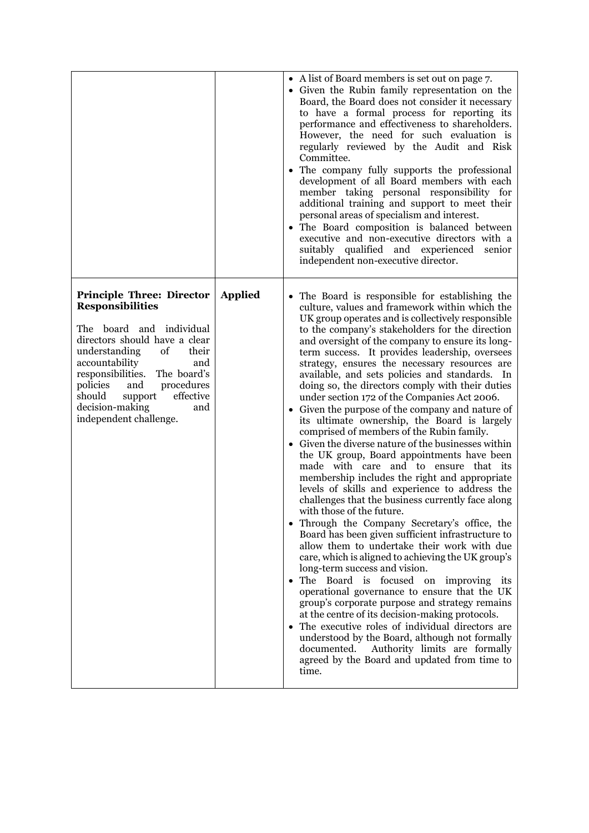|                                                                                                                                                                                                                                                                                                                                              |                | • A list of Board members is set out on page 7.<br>• Given the Rubin family representation on the<br>Board, the Board does not consider it necessary<br>to have a formal process for reporting its<br>performance and effectiveness to shareholders.<br>However, the need for such evaluation is<br>regularly reviewed by the Audit and Risk<br>Committee.<br>The company fully supports the professional<br>development of all Board members with each<br>member taking personal responsibility for<br>additional training and support to meet their<br>personal areas of specialism and interest.<br>• The Board composition is balanced between<br>executive and non-executive directors with a<br>suitably qualified and experienced<br>senior<br>independent non-executive director.                                                                                                                                                                                                                                                                                                                                                                                                                                                                                                                                                                                                                                                                                                                                                                                                                                                                      |
|----------------------------------------------------------------------------------------------------------------------------------------------------------------------------------------------------------------------------------------------------------------------------------------------------------------------------------------------|----------------|----------------------------------------------------------------------------------------------------------------------------------------------------------------------------------------------------------------------------------------------------------------------------------------------------------------------------------------------------------------------------------------------------------------------------------------------------------------------------------------------------------------------------------------------------------------------------------------------------------------------------------------------------------------------------------------------------------------------------------------------------------------------------------------------------------------------------------------------------------------------------------------------------------------------------------------------------------------------------------------------------------------------------------------------------------------------------------------------------------------------------------------------------------------------------------------------------------------------------------------------------------------------------------------------------------------------------------------------------------------------------------------------------------------------------------------------------------------------------------------------------------------------------------------------------------------------------------------------------------------------------------------------------------------|
| <b>Principle Three: Director</b><br><b>Responsibilities</b><br>The board and individual<br>directors should have a clear<br>understanding<br>of<br>their<br>accountability<br>and<br>responsibilities.<br>The board's<br>policies<br>and<br>procedures<br>effective<br>should<br>support<br>decision-making<br>and<br>independent challenge. | <b>Applied</b> | • The Board is responsible for establishing the<br>culture, values and framework within which the<br>UK group operates and is collectively responsible<br>to the company's stakeholders for the direction<br>and oversight of the company to ensure its long-<br>term success. It provides leadership, oversees<br>strategy, ensures the necessary resources are<br>available, and sets policies and standards. In<br>doing so, the directors comply with their duties<br>under section 172 of the Companies Act 2006.<br>Given the purpose of the company and nature of<br>its ultimate ownership, the Board is largely<br>comprised of members of the Rubin family.<br>Given the diverse nature of the businesses within<br>the UK group, Board appointments have been<br>made with care and to ensure that its<br>membership includes the right and appropriate<br>levels of skills and experience to address the<br>challenges that the business currently face along<br>with those of the future.<br>Through the Company Secretary's office, the<br>Board has been given sufficient infrastructure to<br>allow them to undertake their work with due<br>care, which is aligned to achieving the UK group's<br>long-term success and vision.<br>The Board is focused on improving its<br>٠<br>operational governance to ensure that the UK<br>group's corporate purpose and strategy remains<br>at the centre of its decision-making protocols.<br>The executive roles of individual directors are<br>understood by the Board, although not formally<br>documented. Authority limits are formally<br>agreed by the Board and updated from time to<br>time. |